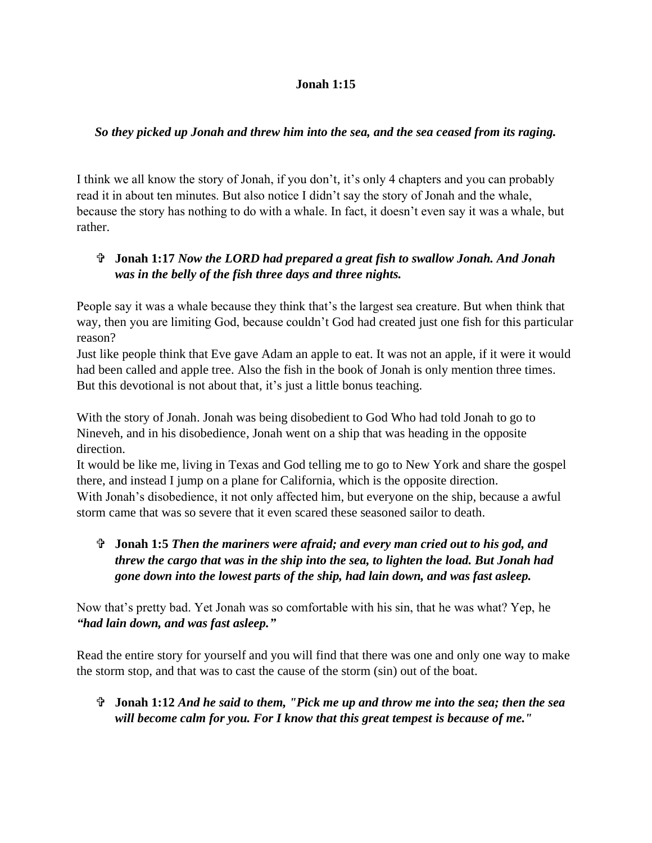## **Jonah 1:15**

## *So they picked up Jonah and threw him into the sea, and the sea ceased from its raging.*

I think we all know the story of Jonah, if you don't, it's only 4 chapters and you can probably read it in about ten minutes. But also notice I didn't say the story of Jonah and the whale, because the story has nothing to do with a whale. In fact, it doesn't even say it was a whale, but rather.

## **Jonah 1:17** *Now the LORD had prepared a great fish to swallow Jonah. And Jonah was in the belly of the fish three days and three nights.*

People say it was a whale because they think that's the largest sea creature. But when think that way, then you are limiting God, because couldn't God had created just one fish for this particular reason?

Just like people think that Eve gave Adam an apple to eat. It was not an apple, if it were it would had been called and apple tree. Also the fish in the book of Jonah is only mention three times. But this devotional is not about that, it's just a little bonus teaching.

With the story of Jonah. Jonah was being disobedient to God Who had told Jonah to go to Nineveh, and in his disobedience, Jonah went on a ship that was heading in the opposite direction.

It would be like me, living in Texas and God telling me to go to New York and share the gospel there, and instead I jump on a plane for California, which is the opposite direction. With Jonah's disobedience, it not only affected him, but everyone on the ship, because a awful storm came that was so severe that it even scared these seasoned sailor to death.

 **Jonah 1:5** *Then the mariners were afraid; and every man cried out to his god, and threw the cargo that was in the ship into the sea, to lighten the load. But Jonah had gone down into the lowest parts of the ship, had lain down, and was fast asleep.*

Now that's pretty bad. Yet Jonah was so comfortable with his sin, that he was what? Yep, he *"had lain down, and was fast asleep."*

Read the entire story for yourself and you will find that there was one and only one way to make the storm stop, and that was to cast the cause of the storm (sin) out of the boat.

 **Jonah 1:12** *And he said to them, "Pick me up and throw me into the sea; then the sea will become calm for you. For I know that this great tempest is because of me."*